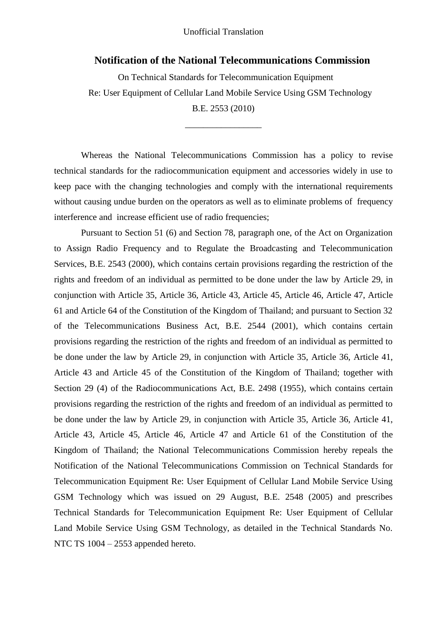#### Unofficial Translation

#### **Notification of the National Telecommunications Commission**

On Technical Standards for Telecommunication Equipment Re: User Equipment of Cellular Land Mobile Service Using GSM Technology B.E. 2553 (2010)

Whereas the National Telecommunications Commission has a policy to revise technical standards for the radiocommunication equipment and accessories widely in use to keep pace with the changing technologies and comply with the international requirements without causing undue burden on the operators as well as to eliminate problems of frequency interference and increase efficient use of radio frequencies;

\_\_\_\_\_\_\_\_\_\_\_\_\_\_\_\_\_

Pursuant to Section 51 (6) and Section 78, paragraph one, of the Act on Organization to Assign Radio Frequency and to Regulate the Broadcasting and Telecommunication Services, B.E. 2543 (2000), which contains certain provisions regarding the restriction of the rights and freedom of an individual as permitted to be done under the law by Article 29, in conjunction with Article 35, Article 36, Article 43, Article 45, Article 46, Article 47, Article 61 and Article 64 of the Constitution of the Kingdom of Thailand; and pursuant to Section 32 of the Telecommunications Business Act, B.E. 2544 (2001), which contains certain provisions regarding the restriction of the rights and freedom of an individual as permitted to be done under the law by Article 29, in conjunction with Article 35, Article 36, Article 41, Article 43 and Article 45 of the Constitution of the Kingdom of Thailand; together with Section 29 (4) of the Radiocommunications Act, B.E. 2498 (1955), which contains certain provisions regarding the restriction of the rights and freedom of an individual as permitted to be done under the law by Article 29, in conjunction with Article 35, Article 36, Article 41, Article 43, Article 45, Article 46, Article 47 and Article 61 of the Constitution of the Kingdom of Thailand; the National Telecommunications Commission hereby repeals the Notification of the National Telecommunications Commission on Technical Standards for Telecommunication Equipment Re: User Equipment of Cellular Land Mobile Service Using GSM Technology which was issued on 29 August, B.E. 2548 (2005) and prescribes Technical Standards for Telecommunication Equipment Re: User Equipment of Cellular Land Mobile Service Using GSM Technology, as detailed in the Technical Standards No. NTC TS 1004 – 2553 appended hereto.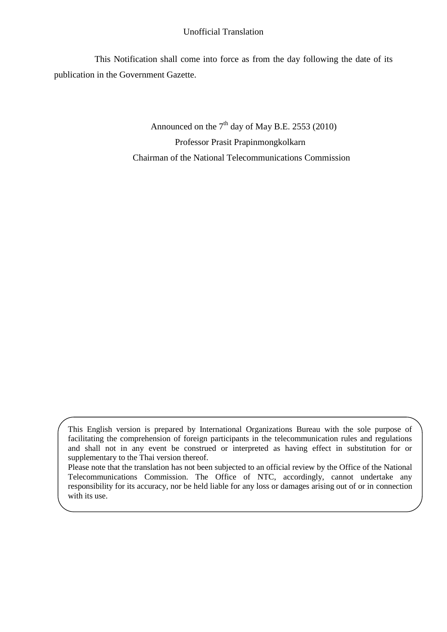#### Unofficial Translation

This Notification shall come into force as from the day following the date of its publication in the Government Gazette.

> Announced on the  $7<sup>th</sup>$  day of May B.E. 2553 (2010) Professor Prasit Prapinmongkolkarn Chairman of the National Telecommunications Commission

This English version is prepared by International Organizations Bureau with the sole purpose of facilitating the comprehension of foreign participants in the telecommunication rules and regulations and shall not in any event be construed or interpreted as having effect in substitution for or supplementary to the Thai version thereof.

Please note that the translation has not been subjected to an official review by the Office of the National Telecommunications Commission. The Office of NTC, accordingly, cannot undertake any responsibility for its accuracy, nor be held liable for any loss or damages arising out of or in connection with its use.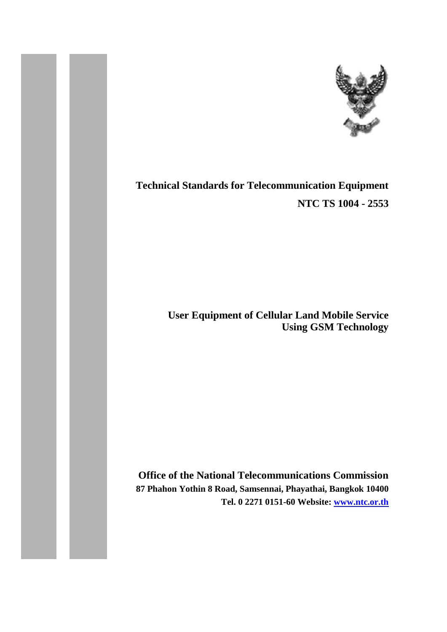

# **Technical Standards for Telecommunication Equipment NTC TS 1004 - 2553**

**User Equipment of Cellular Land Mobile Service Using GSM Technology**

**Office of the National Telecommunications Commission 87 Phahon Yothin 8 Road, Samsennai, Phayathai, Bangkok 10400 Tel. 0 2271 0151-60 Website: [www.ntc.or.th](http://www.ntc.or.th/)**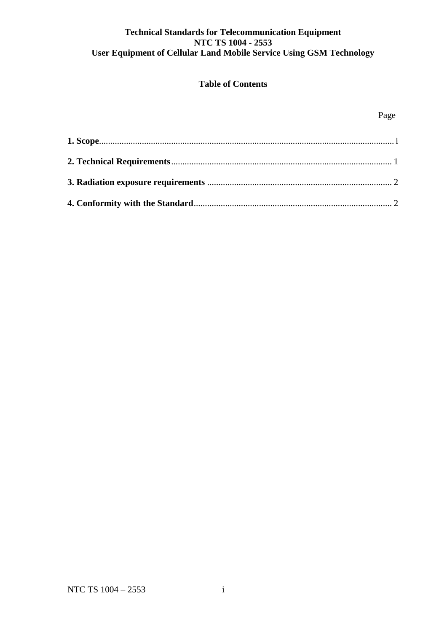## **Technical Standards for Telecommunication Equipment NTC TS 1004 - 2553 User Equipment of Cellular Land Mobile Service Using GSM Technology**

## **Table of Contents**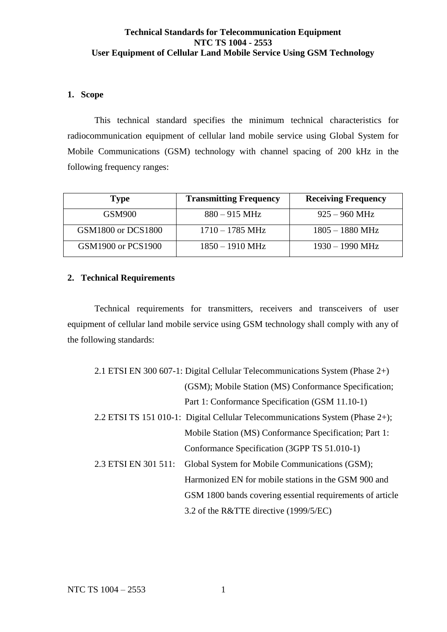## **Technical Standards for Telecommunication Equipment NTC TS 1004 - 2553 User Equipment of Cellular Land Mobile Service Using GSM Technology**

### **1. Scope**

This technical standard specifies the minimum technical characteristics for radiocommunication equipment of cellular land mobile service using Global System for Mobile Communications (GSM) technology with channel spacing of 200 kHz in the following frequency ranges:

| Type               | <b>Transmitting Frequency</b> | <b>Receiving Frequency</b> |
|--------------------|-------------------------------|----------------------------|
| <b>GSM900</b>      | $880 - 915 \text{ MHz}$       | $925 - 960$ MHz            |
| GSM1800 or DCS1800 | $1710 - 1785 \text{ MHz}$     | $1805 - 1880$ MHz          |
| GSM1900 or PCS1900 | $1850 - 1910$ MHz             | $1930 - 1990$ MHz          |

## <span id="page-4-0"></span>**2. Technical Requirements**

Technical requirements for transmitters, receivers and transceivers of user equipment of cellular land mobile service using GSM technology shall comply with any of the following standards:

|                      | 2.1 ETSI EN 300 607-1: Digital Cellular Telecommunications System (Phase 2+)  |
|----------------------|-------------------------------------------------------------------------------|
|                      | (GSM); Mobile Station (MS) Conformance Specification;                         |
|                      | Part 1: Conformance Specification (GSM 11.10-1)                               |
|                      | 2.2 ETSI TS 151 010-1: Digital Cellular Telecommunications System (Phase 2+); |
|                      | Mobile Station (MS) Conformance Specification; Part 1:                        |
|                      | Conformance Specification (3GPP TS 51.010-1)                                  |
| 2.3 ETSI EN 301 511: | Global System for Mobile Communications (GSM);                                |
|                      | Harmonized EN for mobile stations in the GSM 900 and                          |
|                      | GSM 1800 bands covering essential requirements of article                     |
|                      | 3.2 of the R&TTE directive (1999/5/EC)                                        |